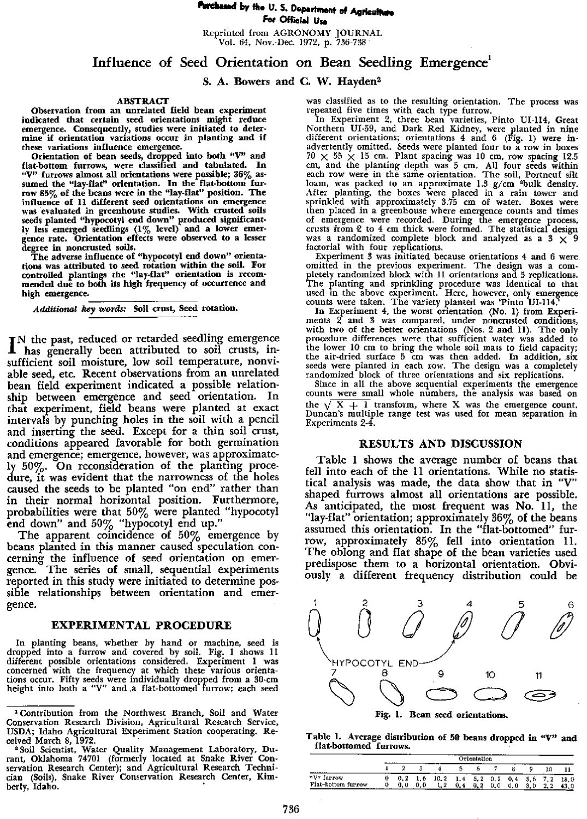# **lorrtheascl by flt. U. 5. Department of AgricaImps For Official use**

Reprinted from AGRONOMY JOURNAL Vol. 64, Nov.-Dec. 1972, p. 736-738

## **Influence of Seed Orientation on Bean Seedling Emergence'**

### S. A. **Bowers and** C. W. Hayden

#### **ABSTRACT**

Observation from an unrelated field bean experiment indicated that certain seed orientations might reduce emergence. Consequently, studies were initiated to determine if orientation variations occur in planting **and if** *these* variations influence emergence.

Orientation of bean **seeds, dropped into both** "V" and fiat-bottom furrows, were **classified and tabulated. In** "V" furrows almost all orientations were possible; 36% assumed the "lay-flat" orientation. In the flat-bottom furrow 85% of the beans **were in** the "lay-flat" position. The influence of 11 **different seed orientations on emergence** was evaluated in greenhouse studies. With crusted soils seeds planted "hypocotyl end down" produced significant-ly less emerged seedlings (1% level) and **a lower emer-gence rate. Orientation** effects were **observed to** a **lesser degree in** noncrusted **soils.**

The adverse influence of "hypocotyl end down" orientations was attributed to seed rotation within the **soil. For controlled** plantings the "lay-flat" **orientation** *is* **recom-mended due to both its** high frequency of occurrence and high emergence.

*Additional key words:* Soil crust, Seed **rotation.**

IN the past, reduced or retarded seedling emergence<br>
I has generally been attributed to soil crusts, in-I has generally been attributed to soil crusts, insufficient soil moisture, low soil temperature, nonviable seed, etc. Recent observations from an unrelated bean field experiment indicated a possible relationship between emergence and seed orientation. In that experiment, field beans were planted at exact intervals by punching holes in the soil with a pencil and inserting the seed. Except for *a* thin soil crust, conditions appeared favorable for both germination and emergence; emergence, however, was approximately 50%. On reconsideration of the planting procedure, it was evident that the narrowness of the holes caused the seeds to be planted "on end" rather than in their normal horizontal position. Furthermore, probabilities were that  $50\%$  were planted "hypocotyl end down" and 50% "hypocotyl end up."

The apparent coincidence of 50% emergence by beans planted in this manner caused speculation concerning the influence of seed orientation on emergence. The series of small, sequential experiments reported in this study were initiated to determine possible relationships between orientation and emergence.

#### **EXPERIMENTAL PROCEDURE**

In planting beans, whether by hand or machine, seed is dropped into a furrow and covered by soil. Fig. 1 shows II different possible orientations considered. Experiment 1 was concerned with the frequency at which these various orientations occur. Fifty seeds were individually dropped from a 30-cm<br>height into both a "V" and a flat-bottomed furrow; each seed

was classified as to the resulting orientation. The process was<br>repeated five times with each type furrow.<br>In Experiment 2, three bean varieties, Pinto UI-114, Great<br>Northern UI-59, and Dark Red Kidney, were planted in nin advertently omitted. Seeds were planted four to a row in boxes 70  $\times$  55  $\times$  15 cm. Plant spacing was 10 cm, row spacing 12.5 cm, and the planting depth was 5 cm. All four seeds within each row were in the same orientat then placed in a greenhouse where emergence counts and times of emergence were recorded. During the emergence process, crusts from *•2* to 4 an thick were formed. The statistical design was a randomized complete block and analyzed as a 3 x 9 factorial with four replications.

Experiment 3 was initiated because orientations 4 and 6 were omitted in the previous experiment. The design was a com-pletely randomized block with 1I orientations and 5 replications. The planting and sprinkling procedure was identical to that used in the above experiment. Here, however, only emergence

counts were taken. The variety planted was 'Pinto VI-114,' **In** Experiment 4, the worst orientation (No. 1) from Experiments 2 and 3 was compared, under noncrusted conditions, with two of the better orientations (Nos. 2 and II). The only procedure differences were that sufficient water was added to<br>the lower 10 cm to bring the whole soil mass to field capacity; the air-dried surface 5 cm was then added. **In** addition, six seeds were planted in each row. The design was a completely randomized block of three orientations and six replications.

Since in all the above sequential experiments the emergence counts were small whole numbers, the analysis was based on the  $\sqrt{X+1}$  transform, where X was the emergence count. Duncan's multiple range test was used for mean separation in Experiments 2-4.

### RESULTS AND DISCUSSION

Table 1 shows the average number of beans that fell into each of the 11 orientations. While no statistical analysis was made, the data show that in "V" shaped furrows almost all orientations are possible. As anticipated, the most frequent was No. 11, the "lay-flat" orientation; approximately 36% of the beans assumed this orientation. In the "flat-bottomed" furrow, approximately  $85\%$  fell into orientation 11. The oblong and flat shape of the bean varieties used predispose them to a horizontal orientation. Obviously *a* different frequency distribution could be



Table 1. Average distribution of 50 beans dropped in "V" and flat-bottomed furrows.

|                               | ---<br>$- \cdot -$<br>Orientation |     |     |       |               |            |     |      |           |  |      |
|-------------------------------|-----------------------------------|-----|-----|-------|---------------|------------|-----|------|-----------|--|------|
| -------                       |                                   |     |     |       |               |            |     |      |           |  |      |
| "V" furrow                    |                                   | 0.2 | 1,6 | 10, 2 | $1.4$ 5.2 0.2 |            |     | 0, 4 | 5.6       |  | 18.0 |
| Flat-bottom furrow<br>------- | $\sim$ $\sim$                     | 0.0 |     | 1, 2  |               | 0.2<br>--- | 0.0 | 0.0  | -21<br>∘. |  |      |

<sup>1</sup> Contribution from the Northwest Branch, Soil and Water Conservation Research Division, Agricultural Research Service, USDA; Idaho Agricultural Experiment Station cooperating. Received March 8, 1972.

<sup>°</sup>Soil Scientist, Water Quality Management Laboratory, Du-rant, Oklahoma 74701 (formerly located at Snake River Conservation Research Center); and Agricultural Research Techni-cian (Soils), Snake River Conservation Research Center, **Kim**berly, Idaho.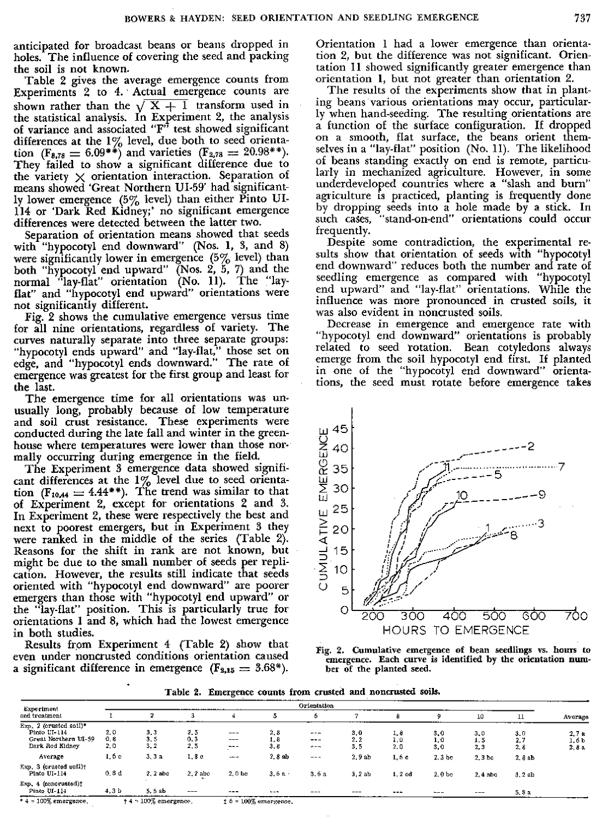anticipated for broadcast beans or beans dropped in holes. The influence of covering the seed and packing the soil is not known.

Table 2 gives the average emergence counts from Experiments 2 to 4. ' Actual emergence counts are shown rather than the  $\sqrt{X} + 1$  transform used in the statistical analysis. In Experiment 2, the analysis of variance and associated "F" test showed significant differences at the 1% level, due both to seed orientation ( $F_{8,78} = 6.09$ <sup>\*\*</sup>) and varieties ( $F_{2,78} = 20.98$ <sup>\*\*</sup>). They failed to show a significant difference due to the variety  $\times$  orientation interaction. Separation of means showed 'Great Northern UI.59' had significantly lower emergence  $(5\%$  level) than either Pinto UI-114 or 'Dark Red Kidney;' no significant emergence differences were detected between the latter two.

Separation of orientation means showed that seeds with "hypocotyl end downward" (Nos. 1, 3, and 8) were significantly lower in emergence  $(5\%$  level) than both "hypocotyl end upward" (Nos. 2, 5, 7) and the normal "lay-flat" orientation (No. 11). The "layflat" and "hypocotyl end upward" orientations were not significantly different.

Fig. 2 shows the cumulative emergence versus time for all nine orientations, regardless of variety. The curves naturally separate into three separate groups: "hypocotyl ends upward" and "lay-flat," those set on edge, and "hypocotyl ends downward." The rate of emergence was greatest for the first group and least for the last.

The emergence time for all orientations was unusually long, probably because of low temperature and soil crust resistance. These experiments were conducted during the late fall and winter in the greenhouse where temperatures were lower than those normally occurring during emergence in the field.

The Experiment 3 emergence data showed significant differences at the  $1\%$  level due to seed orientation (F<sub>10,44</sub>  $=$  4.44\*\*). The trend was similar to that of Experiment 2, except for orientations 2 and 3. In Experiment 2, these were respectively the best and next to poorest emergers, but in Experiment 3 they were ranked in the middle of the series (Table 2). Reasons for the shift in rank are not known, but might be due to the small number of seeds per replication. However, the results still indicate that seeds oriented with "hypocotyl end downward" are poorer emergers than those with "hypocotyl end upward" or the "lay-flat" position. This is particularly true for orientations 1 and 8, which had the lowest emergence in both studies.

Results from Experiment 4 (Table 2) show that even under noncrusted conditions orientation caused a significant difference in emergence  $(F_{2,15} = 3.68^*)$ .

Orientation 1 had a lower emergence than orientation 2, but the difference was not significant. Orientation 11 showed significantly greater emergence than orientation 1, but not greater than orientation 2.

The results of the experiments show that in planting beans various orientations may occur, particularly when hand-seeding. The resulting orientations are a function of the surface configuration. If dropped on a smooth, flat surface, the beans orient themselves in a "lay-flat" position (No. 11). The likelihood of beans standing exactly on end is remote, particularly *in* mechanized agriculture. However, in some underdeveloped countries where *a* "slash and burn" agriculture is practiced, planting is frequently done by dropping seeds into a hole made by a stick. In such cases, "stand-on-end" orientations could occur frequently.

Despite some contradiction, the experimental results show that orientation of seeds with "hypocotyl end downward" reduces both the number and rate of seedling emergence as compared with "hypocotyl end upward" and "lay-flat" orientations. While the influence was more pronounced in crusted soils, it was also evident in noncrusted soils.

Decrease in emergence and emergence rate with "hypocotyl end downward" orientations is probably related to seed rotation. Bean cotyledons always emerge from the soil hypocotyl end first. If planted in one of the "hypocotyl end downward" orientations, the seed must rotate before emergence takes



Fig. 2. Cumulative emergence of bean seedlings vs. hours to emergence. Each curve is identified by the orientation number of the planted seed.

Table 2. Emergence counts from crusted and noncrusted soils.

| Experiment<br>and treatment                                                       | Orientation          |                   |                     |                               |                   |                               |                   |                        |                   |                   |                   |                        |
|-----------------------------------------------------------------------------------|----------------------|-------------------|---------------------|-------------------------------|-------------------|-------------------------------|-------------------|------------------------|-------------------|-------------------|-------------------|------------------------|
|                                                                                   |                      |                   |                     |                               |                   |                               |                   |                        |                   | 10                | 11                | Average                |
| Exp. 2 (erusted soil)*<br>Pinto LI-114<br>Great Northern UI-59<br>Dark Red Kidney | 2.0<br>0,8<br>2.0    | 3,3<br>3.5<br>3.2 | 2, 5<br>0.3<br>2, 5 | $---$<br>$\frac{1}{2}$<br>--- | 2,8<br>1.8<br>3.8 | $- - -$<br>$- - -$<br>$+ - -$ | 3.0<br>2,2<br>3.5 | 1,8<br>1.0<br>2,0      | 3,0<br>1.0<br>3.0 | 3,0<br>1.5<br>2,3 | 3,0<br>2,7<br>2,8 | 2.7a<br>1.6 b<br>2,8 a |
| Average                                                                           | 1,6 с                | 3, 3a             | 1.3 c               | $- - -$                       | 2.8 ab            | $- - -$                       | 2.9ab             | 1,6 c                  | 2.3 <sub>b</sub>  | 2.3 <sub>b</sub>  | 2,8ab             |                        |
| Exp. 3 (crusted sof1)†<br>Pinto UI-114                                            | 0.8d                 | $2.2$ abc         | 2.2 abc             | $2,0$ be                      | $3.6a -$          | 3.6a                          | 3.2ab             | 1.2cd                  | 2.0 <sub>b</sub>  | $2.4$ abc.        | 3.2ab             |                        |
| Exp. 4 (noncrusted):<br>Pinto UI-114                                              | 4.3 <sub>b</sub>     | 5.5ab             | $- - -$             | $- - -$                       | $- - -$           | ---                           | ---               | $\qquad \qquad \cdots$ | $---$             | $- - -$           | 5, 8n             |                        |
| $*4 = 100\%$ emergence.                                                           | +4 = 100% emergence. |                   |                     | $16 = 100\%$ emergence.       |                   |                               |                   |                        |                   |                   |                   |                        |